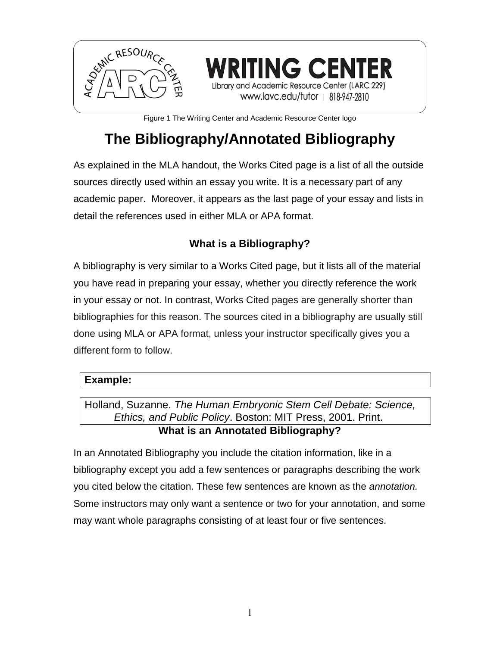

Figure 1 The Writing Center and Academic Resource Center logo

TING CENT

Library and Academic Resource Center (LARC 229) www.lavc.edu/tutor | 818-947-2810

# **The Bibliography/Annotated Bibliography**

As explained in the MLA handout, the Works Cited page is a list of all the outside sources directly used within an essay you write. It is a necessary part of any academic paper. Moreover, it appears as the last page of your essay and lists in detail the references used in either MLA or APA format.

# **What is a Bibliography?**

A bibliography is very similar to a Works Cited page, but it lists all of the material you have read in preparing your essay, whether you directly reference the work in your essay or not. In contrast, Works Cited pages are generally shorter than bibliographies for this reason. The sources cited in a bibliography are usually still done using MLA or APA format, unless your instructor specifically gives you a different form to follow.

# **Example:**

Holland, Suzanne. *The Human Embryonic Stem Cell Debate: Science, Ethics, and Public Policy*. Boston: MIT Press, 2001. Print. **What is an Annotated Bibliography?**

In an Annotated Bibliography you include the citation information, like in a bibliography except you add a few sentences or paragraphs describing the work you cited below the citation. These few sentences are known as the *annotation.*  Some instructors may only want a sentence or two for your annotation, and some may want whole paragraphs consisting of at least four or five sentences.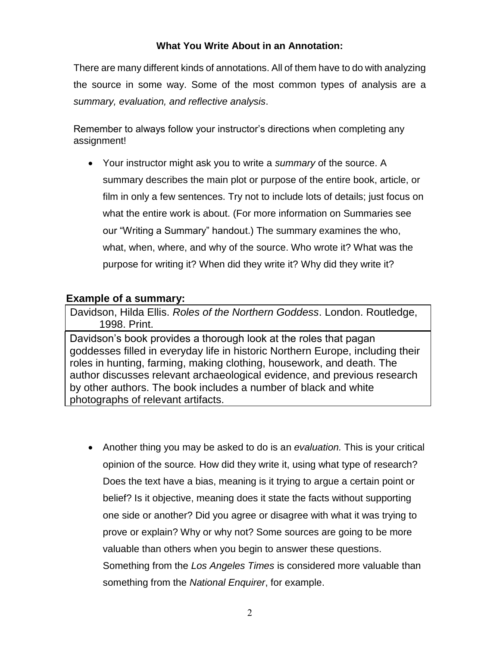## **What You Write About in an Annotation:**

There are many different kinds of annotations. All of them have to do with analyzing the source in some way. Some of the most common types of analysis are a *summary, evaluation, and reflective analysis*.

Remember to always follow your instructor's directions when completing any assignment!

 Your instructor might ask you to write a *summary* of the source. A summary describes the main plot or purpose of the entire book, article, or film in only a few sentences. Try not to include lots of details; just focus on what the entire work is about. (For more information on Summaries see our "Writing a Summary" handout.) The summary examines the who, what, when, where, and why of the source. Who wrote it? What was the purpose for writing it? When did they write it? Why did they write it?

### **Example of a summary:**

Davidson, Hilda Ellis. *Roles of the Northern Goddess*. London. Routledge, 1998. Print.

Davidson's book provides a thorough look at the roles that pagan goddesses filled in everyday life in historic Northern Europe, including their roles in hunting, farming, making clothing, housework, and death. The author discusses relevant archaeological evidence, and previous research by other authors. The book includes a number of black and white photographs of relevant artifacts.

 Another thing you may be asked to do is an *evaluation.* This is your critical opinion of the source*.* How did they write it, using what type of research? Does the text have a bias, meaning is it trying to argue a certain point or belief? Is it objective, meaning does it state the facts without supporting one side or another? Did you agree or disagree with what it was trying to prove or explain? Why or why not? Some sources are going to be more valuable than others when you begin to answer these questions. Something from the *Los Angeles Times* is considered more valuable than something from the *National Enquirer*, for example.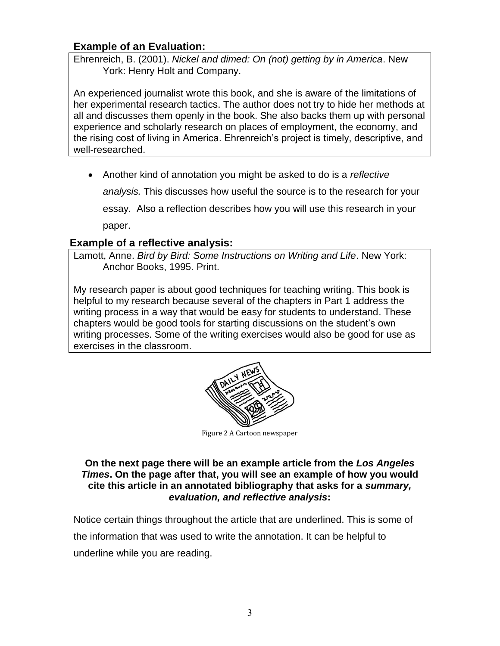# **Example of an Evaluation:**

Ehrenreich, B. (2001). *Nickel and dimed: On (not) getting by in America*. New York: Henry Holt and Company.

An experienced journalist wrote this book, and she is aware of the limitations of her experimental research tactics. The author does not try to hide her methods at all and discusses them openly in the book. She also backs them up with personal experience and scholarly research on places of employment, the economy, and the rising cost of living in America. Ehrenreich's project is timely, descriptive, and well-researched.

Another kind of annotation you might be asked to do is a *reflective* 

*analysis.* This discusses how useful the source is to the research for your

essay. Also a reflection describes how you will use this research in your paper.

## **Example of a reflective analysis:**

Lamott, Anne. *Bird by Bird: Some Instructions on Writing and Life*. New York: Anchor Books, 1995. Print.

My research paper is about good techniques for teaching writing. This book is helpful to my research because several of the chapters in Part 1 address the writing process in a way that would be easy for students to understand. These chapters would be good tools for starting discussions on the student's own writing processes. Some of the writing exercises would also be good for use as exercises in the classroom.



Figure 2 A Cartoon newspaper

#### **On the next page there will be an example article from the** *Los Angeles Times***. On the page after that, you will see an example of how you would cite this article in an annotated bibliography that asks for a** *summary, evaluation, and reflective analysis***:**

Notice certain things throughout the article that are underlined. This is some of the information that was used to write the annotation. It can be helpful to underline while you are reading.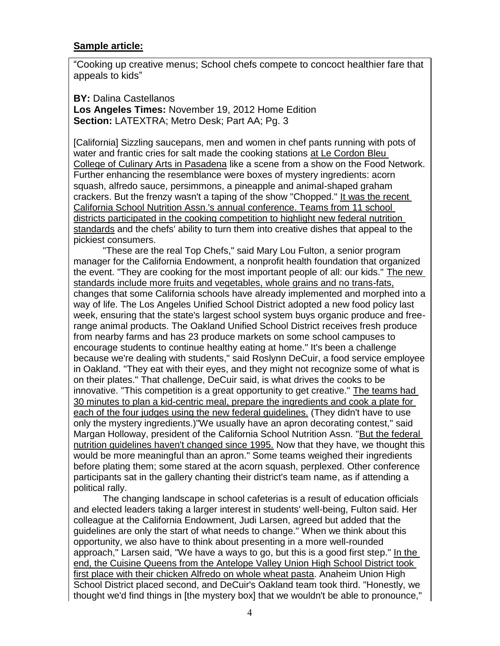#### **Sample article:**

"Cooking up creative menus; School chefs compete to concoct healthier fare that appeals to kids"

**BY:** Dalina Castellanos

**Los Angeles Times:** November 19, 2012 Home Edition **Section:** LATEXTRA; Metro Desk; Part AA; Pg. 3

[California] Sizzling saucepans, men and women in chef pants running with pots of water and frantic cries for salt made the cooking stations at Le Cordon Bleu College of Culinary Arts in Pasadena like a scene from a show on the Food Network. Further enhancing the resemblance were boxes of mystery ingredients: acorn squash, alfredo sauce, persimmons, a pineapple and animal-shaped graham crackers. But the frenzy wasn't a taping of the show "Chopped." It was the recent California School Nutrition Assn.'s annual conference. Teams from 11 school districts participated in the cooking competition to highlight new federal nutrition standards and the chefs' ability to turn them into creative dishes that appeal to the pickiest consumers.

"These are the real Top Chefs," said Mary Lou Fulton, a senior program manager for the California Endowment, a nonprofit health foundation that organized the event. "They are cooking for the most important people of all: our kids." The new standards include more fruits and vegetables, whole grains and no trans-fats, changes that some California schools have already implemented and morphed into a way of life. The Los Angeles Unified School District adopted a new food policy last week, ensuring that the state's largest school system buys organic produce and freerange animal products. The Oakland Unified School District receives fresh produce from nearby farms and has 23 produce markets on some school campuses to encourage students to continue healthy eating at home." It's been a challenge because we're dealing with students," said Roslynn DeCuir, a food service employee in Oakland. "They eat with their eyes, and they might not recognize some of what is on their plates." That challenge, DeCuir said, is what drives the cooks to be innovative. "This competition is a great opportunity to get creative." The teams had 30 minutes to plan a kid-centric meal, prepare the ingredients and cook a plate for each of the four judges using the new federal guidelines. (They didn't have to use only the mystery ingredients.)"We usually have an apron decorating contest," said Margan Holloway, president of the California School Nutrition Assn. "But the federal nutrition guidelines haven't changed since 1995. Now that they have, we thought this would be more meaningful than an apron." Some teams weighed their ingredients before plating them; some stared at the acorn squash, perplexed. Other conference participants sat in the gallery chanting their district's team name, as if attending a political rally.

The changing landscape in school cafeterias is a result of education officials and elected leaders taking a larger interest in students' well-being, Fulton said. Her colleague at the California Endowment, Judi Larsen, agreed but added that the guidelines are only the start of what needs to change." When we think about this opportunity, we also have to think about presenting in a more well-rounded approach," Larsen said, "We have a ways to go, but this is a good first step." In the end, the Cuisine Queens from the Antelope Valley Union High School District took first place with their chicken Alfredo on whole wheat pasta. Anaheim Union High School District placed second, and DeCuir's Oakland team took third. "Honestly, we thought we'd find things in [the mystery box] that we wouldn't be able to pronounce,"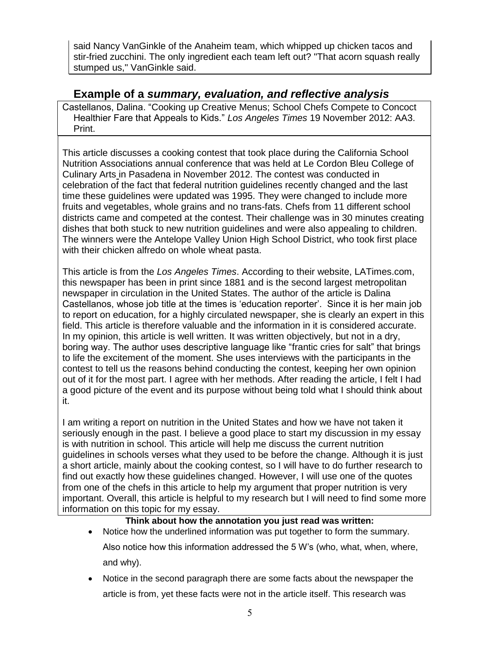said Nancy VanGinkle of the Anaheim team, which whipped up chicken tacos and stir-fried zucchini. The only ingredient each team left out? "That acorn squash really stumped us," VanGinkle said.

# **Example of a** *summary, evaluation, and reflective analysis*

Castellanos, Dalina. "Cooking up Creative Menus; School Chefs Compete to Concoct Healthier Fare that Appeals to Kids." *Los Angeles Times* 19 November 2012: AA3. Print.

This article discusses a cooking contest that took place during the California School Nutrition Associations annual conference that was held at Le Cordon Bleu College of Culinary Arts in Pasadena in November 2012. The contest was conducted in celebration of the fact that federal nutrition guidelines recently changed and the last time these guidelines were updated was 1995. They were changed to include more fruits and vegetables, whole grains and no trans-fats. Chefs from 11 different school districts came and competed at the contest. Their challenge was in 30 minutes creating dishes that both stuck to new nutrition guidelines and were also appealing to children. The winners were the Antelope Valley Union High School District, who took first place with their chicken alfredo on whole wheat pasta.

This article is from the *Los Angeles Times*. According to their website, LATimes.com, this newspaper has been in print since 1881 and is the second largest metropolitan newspaper in circulation in the United States. The author of the article is Dalina Castellanos, whose job title at the times is 'education reporter'. Since it is her main job to report on education, for a highly circulated newspaper, she is clearly an expert in this field. This article is therefore valuable and the information in it is considered accurate. In my opinion, this article is well written. It was written objectively, but not in a dry, boring way. The author uses descriptive language like "frantic cries for salt" that brings to life the excitement of the moment. She uses interviews with the participants in the contest to tell us the reasons behind conducting the contest, keeping her own opinion out of it for the most part. I agree with her methods. After reading the article, I felt I had a good picture of the event and its purpose without being told what I should think about it.

I am writing a report on nutrition in the United States and how we have not taken it seriously enough in the past. I believe a good place to start my discussion in my essay is with nutrition in school. This article will help me discuss the current nutrition guidelines in schools verses what they used to be before the change. Although it is just a short article, mainly about the cooking contest, so I will have to do further research to find out exactly how these guidelines changed. However, I will use one of the quotes from one of the chefs in this article to help my argument that proper nutrition is very important. Overall, this article is helpful to my research but I will need to find some more information on this topic for my essay.

#### **Think about how the annotation you just read was written:**

- Notice how the underlined information was put together to form the summary. Also notice how this information addressed the 5 W's (who, what, when, where, and why).
- Notice in the second paragraph there are some facts about the newspaper the article is from, yet these facts were not in the article itself. This research was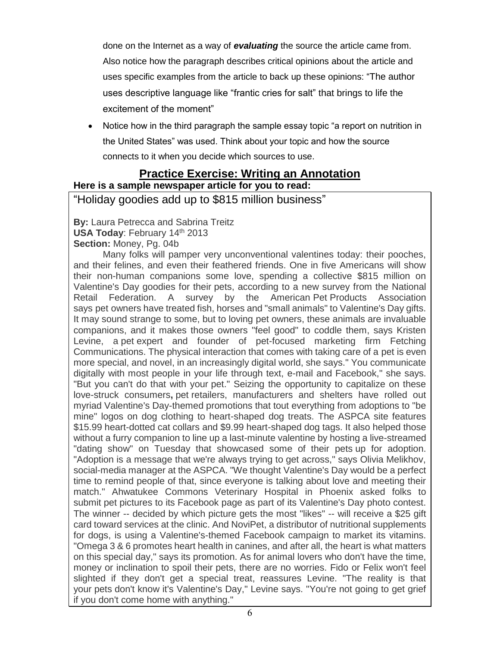done on the Internet as a way of *evaluating* the source the article came from. Also notice how the paragraph describes critical opinions about the article and uses specific examples from the article to back up these opinions: "The author uses descriptive language like "frantic cries for salt" that brings to life the excitement of the moment"

• Notice how in the third paragraph the sample essay topic "a report on nutrition in the United States" was used. Think about your topic and how the source connects to it when you decide which sources to use.

## **Practice Exercise: Writing an Annotation Here is a sample newspaper article for you to read:**

"Holiday goodies add up to \$815 million business"

**By:** Laura Petrecca and Sabrina Treitz **USA Today: February 14th 2013 Section:** Money, Pg. 04b

Many folks will pamper very unconventional valentines today: their pooches, and their felines, and even their feathered friends. One in five Americans will show their non-human companions some love, spending a collective \$815 million on Valentine's Day goodies for their pets, according to a new survey from the National Retail Federation. A survey by the American Pet Products Association says pet owners have treated fish, horses and "small animals" to Valentine's Day gifts. It may sound strange to some, but to loving pet owners, these animals are invaluable companions, and it makes those owners "feel good" to coddle them, says Kristen Levine, a pet expert and founder of pet-focused marketing firm Fetching Communications. The physical interaction that comes with taking care of a pet is even more special, and novel, in an increasingly digital world, she says." You communicate digitally with most people in your life through text, e-mail and Facebook," she says. "But you can't do that with your pet." Seizing the opportunity to capitalize on these love-struck consumers**,** pet retailers, manufacturers and shelters have rolled out myriad Valentine's Day-themed promotions that tout everything from adoptions to "be mine" logos on dog clothing to heart-shaped dog treats. The ASPCA site features \$15.99 heart-dotted cat collars and \$9.99 heart-shaped dog tags. It also helped those without a furry companion to line up a last-minute valentine by hosting a live-streamed "dating show" on Tuesday that showcased some of their pets up for adoption. "Adoption is a message that we're always trying to get across," says Olivia Melikhov, social-media manager at the ASPCA. "We thought Valentine's Day would be a perfect time to remind people of that, since everyone is talking about love and meeting their match." Ahwatukee Commons Veterinary Hospital in Phoenix asked folks to submit pet pictures to its Facebook page as part of its Valentine's Day photo contest. The winner -- decided by which picture gets the most "likes" -- will receive a \$25 gift card toward services at the clinic. And NoviPet, a distributor of nutritional supplements for dogs, is using a Valentine's-themed Facebook campaign to market its vitamins. "Omega 3 & 6 promotes heart health in canines, and after all, the heart is what matters on this special day," says its promotion. As for animal lovers who don't have the time, money or inclination to spoil their pets, there are no worries. Fido or Felix won't feel slighted if they don't get a special treat, reassures Levine. "The reality is that your pets don't know it's Valentine's Day," Levine says. "You're not going to get grief if you don't come home with anything."